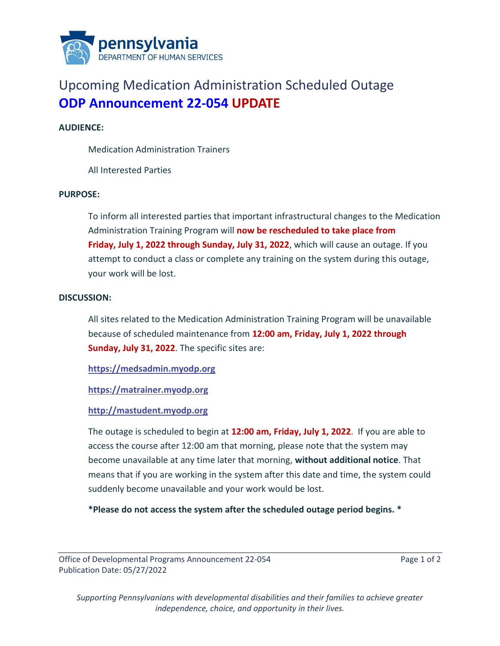

# Upcoming Medication Administration Scheduled Outage **ODP Announcement 22-054 UPDATE**

### **AUDIENCE:**

Medication Administration Trainers

All Interested Parties

#### **PURPOSE:**

To inform all interested parties that important infrastructural changes to the Medication Administration Training Program will **now be rescheduled to take place from Friday, July 1, 2022 through Sunday, July 31, 2022**, which will cause an outage. If you attempt to conduct a class or complete any training on the system during this outage, your work will be lost.

#### **DISCUSSION:**

All sites related to the Medication Administration Training Program will be unavailable because of scheduled maintenance from **12:00 am, Friday, July 1, 2022 through Sunday, July 31, 2022**. The specific sites are:

**[https://medsadmin.myodp.org](https://medsadmin.myodp.org/)** 

**[https://matrainer.myodp.org](https://matrainer.myodp.org/)**

## **[http://mastudent.myodp.org](http://mastudent.myodp.org/)**

The outage is scheduled to begin at **12:00 am, Friday, July 1, 2022**. If you are able to access the course after 12:00 am that morning, please note that the system may become unavailable at any time later that morning, **without additional notice**. That means that if you are working in the system after this date and time, the system could suddenly become unavailable and your work would be lost.

**\*Please do not access the system after the scheduled outage period begins. \***

Office of Developmental Programs Announcement 22-054 Page 1 of 2 Publication Date: 05/27/2022

*Supporting Pennsylvanians with developmental disabilities and their families to achieve greater independence, choice, and opportunity in their lives.*